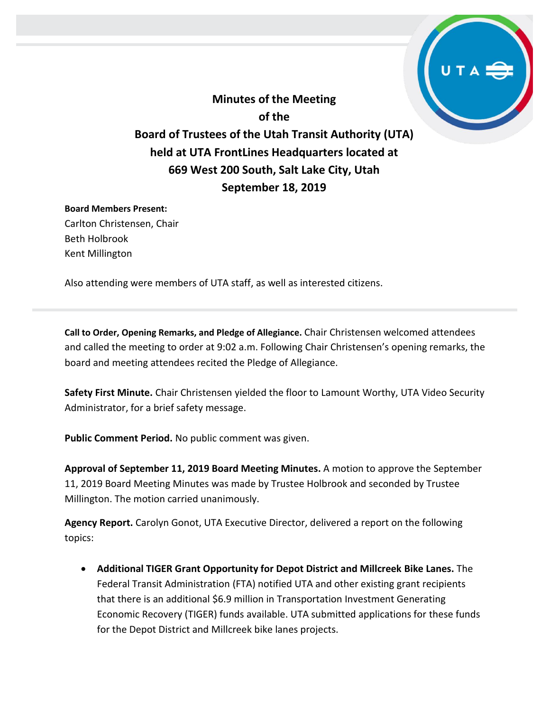**Minutes of the Meeting of the Board of Trustees of the Utah Transit Authority (UTA) held at UTA FrontLines Headquarters located at 669 West 200 South, Salt Lake City, Utah September 18, 2019**

## **Board Members Present:**

Carlton Christensen, Chair Beth Holbrook Kent Millington

Also attending were members of UTA staff, as well as interested citizens.

**Call to Order, Opening Remarks, and Pledge of Allegiance.** Chair Christensen welcomed attendees and called the meeting to order at 9:02 a.m. Following Chair Christensen's opening remarks, the board and meeting attendees recited the Pledge of Allegiance.

**Safety First Minute.** Chair Christensen yielded the floor to Lamount Worthy, UTA Video Security Administrator, for a brief safety message.

**Public Comment Period.** No public comment was given.

**Approval of September 11, 2019 Board Meeting Minutes.** A motion to approve the September 11, 2019 Board Meeting Minutes was made by Trustee Holbrook and seconded by Trustee Millington. The motion carried unanimously.

**Agency Report.** Carolyn Gonot, UTA Executive Director, delivered a report on the following topics:

 **Additional TIGER Grant Opportunity for Depot District and Millcreek Bike Lanes.** The Federal Transit Administration (FTA) notified UTA and other existing grant recipients that there is an additional \$6.9 million in Transportation Investment Generating Economic Recovery (TIGER) funds available. UTA submitted applications for these funds for the Depot District and Millcreek bike lanes projects.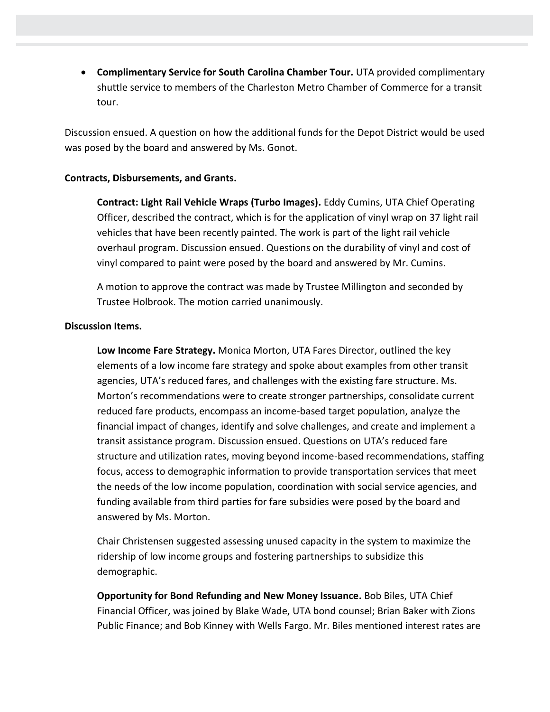**Complimentary Service for South Carolina Chamber Tour.** UTA provided complimentary shuttle service to members of the Charleston Metro Chamber of Commerce for a transit tour.

Discussion ensued. A question on how the additional funds for the Depot District would be used was posed by the board and answered by Ms. Gonot.

## **Contracts, Disbursements, and Grants.**

**Contract: Light Rail Vehicle Wraps (Turbo Images).** Eddy Cumins, UTA Chief Operating Officer, described the contract, which is for the application of vinyl wrap on 37 light rail vehicles that have been recently painted. The work is part of the light rail vehicle overhaul program. Discussion ensued. Questions on the durability of vinyl and cost of vinyl compared to paint were posed by the board and answered by Mr. Cumins.

A motion to approve the contract was made by Trustee Millington and seconded by Trustee Holbrook. The motion carried unanimously.

## **Discussion Items.**

**Low Income Fare Strategy.** Monica Morton, UTA Fares Director, outlined the key elements of a low income fare strategy and spoke about examples from other transit agencies, UTA's reduced fares, and challenges with the existing fare structure. Ms. Morton's recommendations were to create stronger partnerships, consolidate current reduced fare products, encompass an income-based target population, analyze the financial impact of changes, identify and solve challenges, and create and implement a transit assistance program. Discussion ensued. Questions on UTA's reduced fare structure and utilization rates, moving beyond income-based recommendations, staffing focus, access to demographic information to provide transportation services that meet the needs of the low income population, coordination with social service agencies, and funding available from third parties for fare subsidies were posed by the board and answered by Ms. Morton.

Chair Christensen suggested assessing unused capacity in the system to maximize the ridership of low income groups and fostering partnerships to subsidize this demographic.

**Opportunity for Bond Refunding and New Money Issuance.** Bob Biles, UTA Chief Financial Officer, was joined by Blake Wade, UTA bond counsel; Brian Baker with Zions Public Finance; and Bob Kinney with Wells Fargo. Mr. Biles mentioned interest rates are